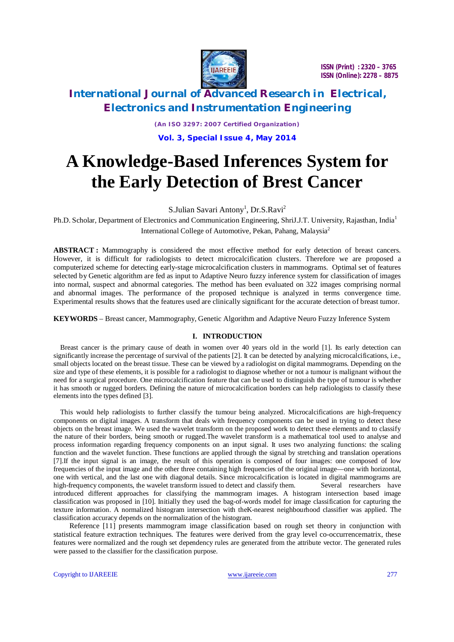

### **International Journal of Advanced Research in Electrical, Electronics and Instrumentation Engineering**

*(An ISO 3297: 2007 Certified Organization)*

**Vol. 3, Special Issue 4, May 2014**

# **A Knowledge-Based Inferences System for the Early Detection of Brest Cancer**

S.Julian Savari Antony<sup>1</sup>, Dr.S.Ravi<sup>2</sup>

Ph.D. Scholar, Department of Electronics and Communication Engineering, ShriJ.J.T. University, Rajasthan, India<sup>1</sup> International College of Automotive, Pekan, Pahang, Malaysia<sup>2</sup>

**ABSTRACT :** Mammography is considered the most effective method for early detection of breast cancers. However, it is difficult for radiologists to detect microcalcification clusters. Therefore we are proposed a computerized scheme for detecting early-stage microcalcification clusters in mammograms. Optimal set of features selected by Genetic algorithm are fed as input to Adaptive Neuro fuzzy inference system for classification of images into normal, suspect and abnormal categories. The method has been evaluated on 322 images comprising normal and abnormal images. The performance of the proposed technique is analyzed in terms convergence time. Experimental results shows that the features used are clinically significant for the accurate detection of breast tumor.

**KEYWORDS** – Breast cancer, Mammography, Genetic Algorithm and Adaptive Neuro Fuzzy Inference System

### **I. INTRODUCTION**

Breast cancer is the primary cause of death in women over 40 years old in the world [1]. Its early detection can significantly increase the percentage of survival of the patients [2]. It can be detected by analyzing microcalcifications, i.e., small objects located on the breast tissue. These can be viewed by a radiologist on digital mammograms. Depending on the size and type of these elements, it is possible for a radiologist to diagnose whether or not a tumour is malignant without the need for a surgical procedure. One microcalcification feature that can be used to distinguish the type of tumour is whether it has smooth or rugged borders. Defining the nature of microcalcification borders can help radiologists to classify these elements into the types defined [3].

This would help radiologists to further classify the tumour being analyzed. Microcalcifications are high-frequency components on digital images. A transform that deals with frequency components can be used in trying to detect these objects on the breast image. We used the wavelet transform on the proposed work to detect these elements and to classify the nature of their borders, being smooth or rugged.The wavelet transform is a mathematical tool used to analyse and process information regarding frequency components on an input signal. It uses two analyzing functions: the scaling function and the wavelet function. These functions are applied through the signal by stretching and translation operations [7].If the input signal is an image, the result of this operation is composed of four images: one composed of low frequencies of the input image and the other three containing high frequencies of the original image—one with horizontal, one with vertical, and the last one with diagonal details. Since microcalcification is located in digital mammograms are high-frequency components, the wavelet transform issued to detect and classify them. Several researchers have introduced different approaches for classifying the mammogram images. A histogram intersection based image classification was proposed in [10]. Initially they used the bag-of-words model for image classification for capturing the texture information. A normalized histogram intersection with theK-nearest neighbourhood classifier was applied. The classification accuracy depends on the normalization of the histogram.

Reference [11] presents mammogram image classification based on rough set theory in conjunction with statistical feature extraction techniques. The features were derived from the gray level co-occurrencematrix, these features were normalized and the rough set dependency rules are generated from the attribute vector. The generated rules were passed to the classifier for the classification purpose.

Copyright to IJAREEIE www.ijareeie.com 277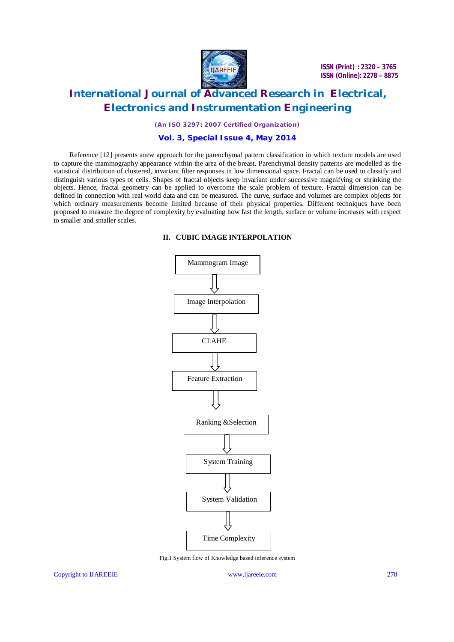

## **International Journal of Advanced Research in Electrical, Electronics and Instrumentation Engineering**

*(An ISO 3297: 2007 Certified Organization)*

### **Vol. 3, Special Issue 4, May 2014**

Reference [12] presents anew approach for the parenchymal pattern classification in which texture models are used to capture the mammography appearance within the area of the breast. Parenchymal density patterns are modelled as the statistical distribution of clustered, invariant filter responses in low dimensional space. Fractal can be used to classify and distinguish various types of cells. Shapes of fractal objects keep invariant under successive magnifying or shrinking the objects. Hence, fractal geometry can be applied to overcome the scale problem of texture. Fractal dimension can be defined in connection with real world data and can be measured. The curve, surface and volumes are complex objects for which ordinary measurements become limited because of their physical properties. Different techniques have been proposed to measure the degree of complexity by evaluating how fast the length, surface or volume increases with respect to smaller and smaller scales.

#### **II. CUBIC IMAGE INTERPOLATION**



Fig.1 System flow of Knowledge based inference system

Copyright to IJAREEIE www.ijareeie.com 278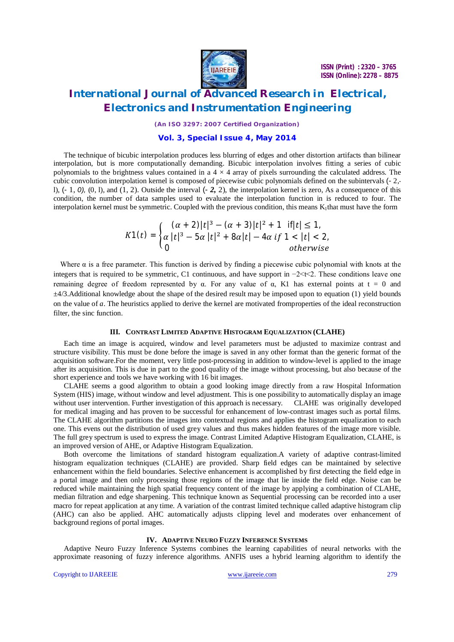

*(An ISO 3297: 2007 Certified Organization)*

#### **Vol. 3, Special Issue 4, May 2014**

The technique of bicubic interpolation produces less blurring of edges and other distortion artifacts than bilinear interpolation, but is more computationally demanding. Bicubic interpolation involves fitting a series of cubic polynomials to the brightness values contained in a  $4 \times 4$  array of pixels surrounding the calculated address. The cubic convolution interpolation kernel is composed of piecewise cubic polynomials defined on the subintervals (- 2, l),  $(-1, 0)$ ,  $(0, 1)$ , and  $(1, 2)$ . Outside the interval  $(-2, 2)$ , the interpolation kernel is zero, As a consequence of this condition, the number of data samples used to evaluate the interpolation function in is reduced to four. The interpolation kernel must be symmetric. Coupled with the previous condition, this means  $K_1$ that must have the form

$$
K1(t) = \begin{cases} (\alpha + 2)|t|^3 - (\alpha + 3)|t|^2 + 1 & \text{if } |t| \le 1, \\ \alpha |t|^3 - 5\alpha |t|^2 + 8\alpha |t| - 4\alpha & \text{if } 1 < |t| < 2, \\ 0 & \text{otherwise} \end{cases}
$$

Where  $\alpha$  is a free parameter. This function is derived by finding a piecewise cubic polynomial with knots at the integers that is required to be symmetric, C1 continuous, and have support in −2<t<2. These conditions leave one remaining degree of freedom represented by α. For any value of α, K1 has external points at  $t = 0$  and ±4/3.Additional knowledge about the shape of the desired result may be imposed upon to equation (1) yield bounds on the value of *a*. The heuristics applied to derive the kernel are motivated fromproperties of the ideal reconstruction filter, the sinc function.

#### **III. CONTRAST LIMITED ADAPTIVE HISTOGRAM EQUALIZATION (CLAHE)**

Each time an image is acquired, window and level parameters must be adjusted to maximize contrast and structure visibility. This must be done before the image is saved in any other format than the generic format of the acquisition software.For the moment, very little post-processing in addition to window-level is applied to the image after its acquisition. This is due in part to the good quality of the image without processing, but also because of the short experience and tools we have working with 16 bit images.

CLAHE seems a good algorithm to obtain a good looking image directly from a raw Hospital Information System (HIS) image, without window and level adjustment. This is one possibility to automatically display an image without user intervention. Further investigation of this approach is necessary. CLAHE was originally developed for medical imaging and has proven to be successful for enhancement of low-contrast images such as portal films. The CLAHE algorithm partitions the images into contextual regions and applies the histogram equalization to each one. This evens out the distribution of used grey values and thus makes hidden features of the image more visible. The full grey spectrum is used to express the image. Contrast Limited Adaptive Histogram Equalization, CLAHE, is an improved version of AHE, or Adaptive Histogram Equalization.

Both overcome the limitations of standard histogram equalization.A variety of adaptive contrast-limited histogram equalization techniques (CLAHE) are provided. Sharp field edges can be maintained by selective enhancement within the field boundaries. Selective enhancement is accomplished by first detecting the field edge in a portal image and then only processing those regions of the image that lie inside the field edge. Noise can be reduced while maintaining the high spatial frequency content of the image by applying a combination of CLAHE, median filtration and edge sharpening. This technique known as Sequential processing can be recorded into a user macro for repeat application at any time. A variation of the contrast limited technique called adaptive histogram clip (AHC) can also be applied. AHC automatically adjusts clipping level and moderates over enhancement of background regions of portal images.

#### **IV. ADAPTIVE NEURO FUZZY INFERENCE SYSTEMS**

Adaptive Neuro Fuzzy Inference Systems combines the learning capabilities of neural networks with the approximate reasoning of fuzzy inference algorithms. ANFIS uses a hybrid learning algorithm to identify the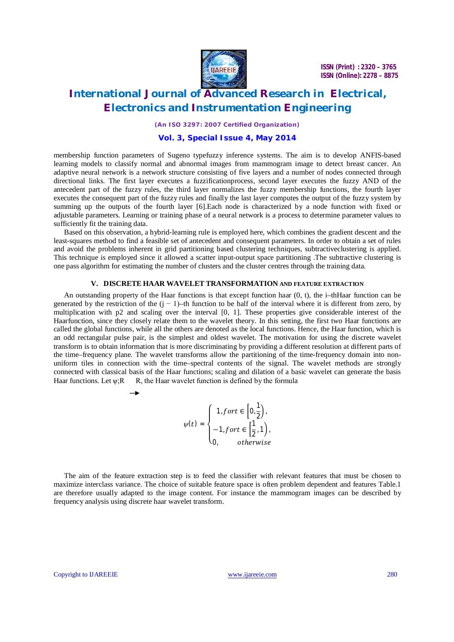

### **International Journal of Advanced Research in Electrical, Electronics and Instrumentation Engineering**

*(An ISO 3297: 2007 Certified Organization)*

### **Vol. 3, Special Issue 4, May 2014**

membership function parameters of Sugeno typefuzzy inference systems. The aim is to develop ANFIS-based learning models to classify normal and abnormal images from mammogram image to detect breast cancer. An adaptive neural network is a network structure consisting of five layers and a number of nodes connected through directional links. The first layer executes a fuzzificationprocess, second layer executes the fuzzy AND of the antecedent part of the fuzzy rules, the third layer normalizes the fuzzy membership functions, the fourth layer executes the consequent part of the fuzzy rules and finally the last layer computes the output of the fuzzy system by summing up the outputs of the fourth layer [6].Each node is characterized by a node function with fixed or adjustable parameters. Learning or training phase of a neural network is a process to determine parameter values to sufficiently fit the training data.

Based on this observation, a hybrid-learning rule is employed here, which combines the gradient descent and the least-squares method to find a feasible set of antecedent and consequent parameters. In order to obtain a set of rules and avoid the problems inherent in grid partitioning based clustering techniques, subtractiveclustering is applied. This technique is employed since it allowed a scatter input-output space partitioning .The subtractive clustering is one pass algorithm for estimating the number of clusters and the cluster centres through the training data.

#### **V. DISCRETE HAAR WAVELET TRANSFORMATION AND FEATURE EXTRACTION**

An outstanding property of the Haar functions is that except function haar (0, t), the i–thHaar function can be generated by the restriction of the  $(j - 1)$ –th function to be half of the interval where it is different from zero, by multiplication with p2 and scaling over the interval [0, 1]. These properties give considerable interest of the Haarfunction, since they closely relate them to the wavelet theory. In this setting, the first two Haar functions are called the global functions, while all the others are denoted as the local functions. Hence, the Haar function, which is an odd rectangular pulse pair, is the simplest and oldest wavelet. The motivation for using the discrete wavelet transform is to obtain information that is more discriminating by providing a different resolution at different parts of the time–frequency plane. The wavelet transforms allow the partitioning of the time-frequency domain into nonuniform tiles in connection with the time–spectral contents of the signal. The wavelet methods are strongly connected with classical basis of the Haar functions; scaling and dilation of a basic wavelet can generate the basis Haar functions. Let  $\psi$ ;R R, the Haar wavelet function is defined by the formula

> $\psi(t) =$  $\begin{bmatrix} \frac{1}{2} & \frac{1}{2} & \frac{1}{2} & \frac{1}{2} & \frac{1}{2} & \frac{1}{2} & \frac{1}{2} & \frac{1}{2} & \frac{1}{2} & \frac{1}{2} & \frac{1}{2} & \frac{1}{2} & \frac{1}{2} & \frac{1}{2} & \frac{1}{2} & \frac{1}{2} & \frac{1}{2} & \frac{1}{2} & \frac{1}{2} & \frac{1}{2} & \frac{1}{2} & \frac{1}{2} & \frac{1}{2} & \frac{1}{2} & \frac{1}{2} & \frac{1}{2} & \frac{1}{2$  $\left(1, fort \in \left[0, \frac{1}{2}\right]\right)$  $\frac{1}{2}$ ),  $-1$ , fort  $\in$   $\left[\frac{1}{2}\right]$  $\frac{1}{2}$ , 1 ), O, otherwise

The aim of the feature extraction step is to feed the classifier with relevant features that must be chosen to maximize interclass variance. The choice of suitable feature space is often problem dependent and features Table.1 are therefore usually adapted to the image content. For instance the mammogram images can be described by frequency analysis using discrete haar wavelet transform.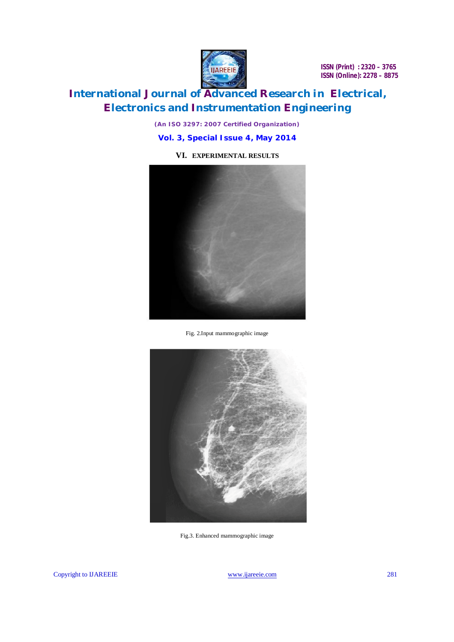

## **International Journal of Advanced Research in Electrical, Electronics and Instrumentation Engineering**

*(An ISO 3297: 2007 Certified Organization)*

**Vol. 3, Special Issue 4, May 2014**

### **VI. EXPERIMENTAL RESULTS**



Fig. 2.Input mammographic image



Fig.3. Enhanced mammographic image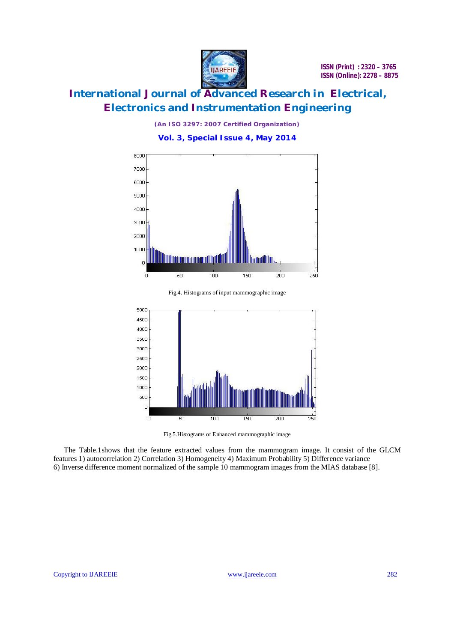

*(An ISO 3297: 2007 Certified Organization)*

**Vol. 3, Special Issue 4, May 2014**



Fig.4. Histograms of input mammographic image



Fig.5.Histograms of Enhanced mammographic image

The Table.1shows that the feature extracted values from the mammogram image. It consist of the GLCM features 1) autocorrelation 2) Correlation 3) Homogeneity 4) Maximum Probability 5) Difference variance 6) Inverse difference moment normalized of the sample 10 mammogram images from the MIAS database [8].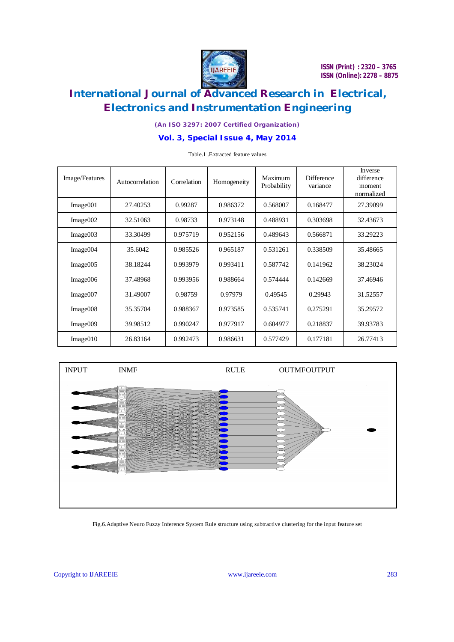

*(An ISO 3297: 2007 Certified Organization)*

### **Vol. 3, Special Issue 4, May 2014**

| Image/Features | Autocorrelation | Correlation | Homogeneity | Maximum<br>Probability | <b>Difference</b><br>variance | Inverse<br>difference<br>moment<br>normalized |
|----------------|-----------------|-------------|-------------|------------------------|-------------------------------|-----------------------------------------------|
| Image001       | 27.40253        | 0.99287     | 0.986372    | 0.568007               | 0.168477                      | 27.39099                                      |
| Image002       | 32.51063        | 0.98733     | 0.973148    | 0.488931               | 0.303698                      | 32.43673                                      |
| Image003       | 33.30499        | 0.975719    | 0.952156    | 0.489643               | 0.566871                      | 33.29223                                      |
| Image004       | 35.6042         | 0.985526    | 0.965187    | 0.531261               | 0.338509                      | 35.48665                                      |
| Image005       | 38.18244        | 0.993979    | 0.993411    | 0.587742               | 0.141962                      | 38.23024                                      |
| Image006       | 37.48968        | 0.993956    | 0.988664    | 0.574444               | 0.142669                      | 37.46946                                      |
| Image007       | 31.49007        | 0.98759     | 0.97979     | 0.49545                | 0.29943                       | 31.52557                                      |
| Image008       | 35.35704        | 0.988367    | 0.973585    | 0.535741               | 0.275291                      | 35.29572                                      |
| Image009       | 39.98512        | 0.990247    | 0.977917    | 0.604977               | 0.218837                      | 39.93783                                      |
| Image010       | 26.83164        | 0.992473    | 0.986631    | 0.577429               | 0.177181                      | 26.77413                                      |

Table.1 .Extracted feature values



#### Fig.6.Adaptive Neuro Fuzzy Inference System Rule structure using subtractive clustering for the input feature set

Copyright to IJAREEIE www.ijareeie.com 283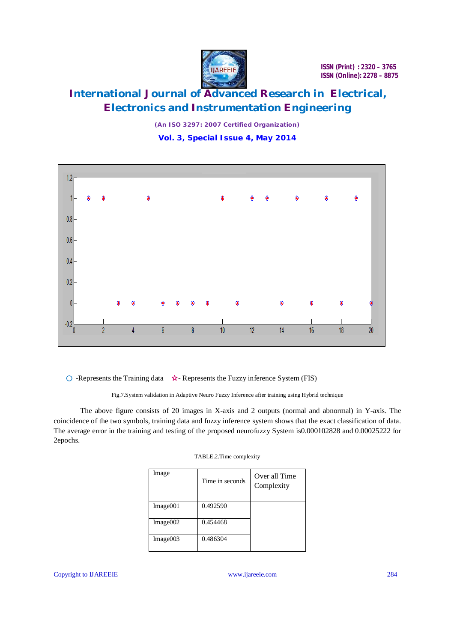

*(An ISO 3297: 2007 Certified Organization)* **Vol. 3, Special Issue 4, May 2014**



 $\circ$  -Represents the Training data  $\star$ -Represents the Fuzzy inference System (FIS)

Fig.7.System validation in Adaptive Neuro Fuzzy Inference after training using Hybrid technique

The above figure consists of 20 images in X-axis and 2 outputs (normal and abnormal) in Y-axis. The coincidence of the two symbols, training data and fuzzy inference system shows that the exact classification of data. The average error in the training and testing of the proposed neurofuzzy System is0.000102828 and 0.00025222 for 2epochs.

| TABLE.2.Time complexity |  |
|-------------------------|--|
|-------------------------|--|

| Image    | Time in seconds | Over all Time<br>Complexity |
|----------|-----------------|-----------------------------|
| Image001 | 0.492590        |                             |
| Image002 | 0.454468        |                             |
| Image003 | 0.486304        |                             |